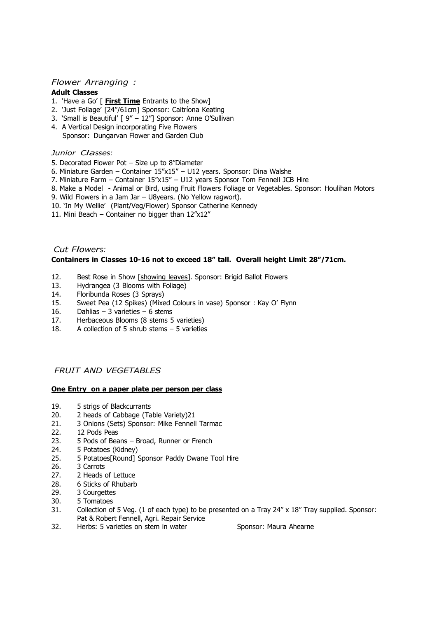### *Flower Arranging :*

#### **Adult Classes**

- 1. 'Have a Go' [ **First Time** Entrants to the Show]
- 2. 'Just Foliage' [24"/61cm] Sponsor: Caitríona Keating
- 3. 'Small is Beautiful' [ 9" 12"] Sponsor: Anne O'Sullivan
- 4. A Vertical Design incorporating Five Flowers Sponsor: Dungarvan Flower and Garden Club

#### *Junior Classes:*

- 5. Decorated Flower Pot Size up to 8"Diameter
- 6. Miniature Garden Container 15"x15" U12 years. Sponsor: Dina Walshe
- 7. Miniature Farm Container 15"x15" U12 years Sponsor Tom Fennell JCB Hire
- 8. Make a Model Animal or Bird, using Fruit Flowers Foliage or Vegetables. Sponsor: Houlihan Motors
- 9. Wild Flowers in a Jam Jar U8years. (No Yellow ragwort).
- 10. 'In My Wellie' (Plant/Veg/Flower) Sponsor Catherine Kennedy
- 11. Mini Beach Container no bigger than 12"x12"

### *Cut Flowers:* **Containers in Classes 10-16 not to exceed 18" tall. Overall height Limit 28"/71cm.**

- 12. Best Rose in Show [showing leaves]. Sponsor: Brigid Ballot Flowers
- 13. Hydrangea (3 Blooms with Foliage)
- 14. Floribunda Roses (3 Sprays)
- 15. Sweet Pea (12 Spikes) (Mixed Colours in vase) Sponsor : Kay O' Flynn
- 16. Dahlias 3 varieties 6 stems
- 17. Herbaceous Blooms (8 stems 5 varieties)
- 18. A collection of 5 shrub stems 5 varieties

## *FRUIT AND VEGETABLES*

#### **One Entry on a paper plate per person per class**

- 19. 5 strigs of Blackcurrants
- 20. 2 heads of Cabbage (Table Variety) 21. 3 Onions (Sets) Sponsor: Mike Fennell
- 21. 3 Onions (Sets) Sponsor: Mike Fennell Tarmac
- 22. 12 Pods Peas
- 23. 5 Pods of Beans Broad, Runner or French
- 24. 5 Potatoes (Kidney)
- 25. 5 Potatoes[Round] Sponsor Paddy Dwane Tool Hire
- 26. 3 Carrots
- 27. 2 Heads of Lettuce
- 28. 6 Sticks of Rhubarb
- 29. 3 Courgettes
- 30. 5 Tomatoes
- 31. Collection of 5 Veg. (1 of each type) to be presented on a Tray 24" x 18" Tray supplied. Sponsor: Pat & Robert Fennell, Agri. Repair Service
- 32. Herbs: 5 varieties on stem in water Sponsor: Maura Ahearne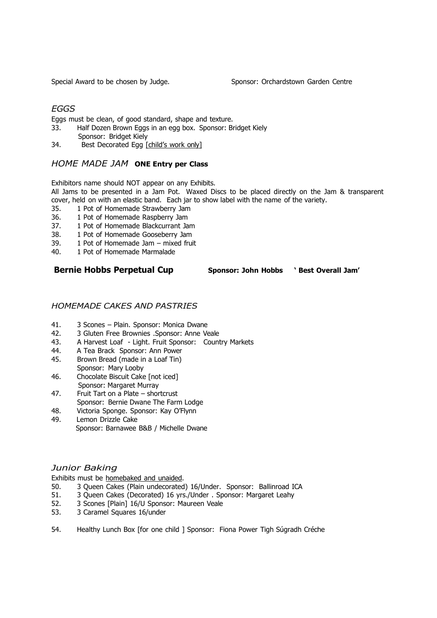## *EGGS*

Eggs must be clean, of good standard, shape and texture.

- 33. Half Dozen Brown Eggs in an egg box. Sponsor: Bridget Kiely Sponsor: Bridget Kiely
- 34. Best Decorated Egg [child's work only]

## *HOME MADE JAM* **ONE Entry per Class**

Exhibitors name should NOT appear on any Exhibits.

All Jams to be presented in a Jam Pot. Waxed Discs to be placed directly on the Jam & transparent cover, held on with an elastic band. Each jar to show label with the name of the variety.<br>35. 1 Pot of Homemade Strawberry Jam

- 1 Pot of Homemade Strawberry Jam
- 36. 1 Pot of Homemade Raspberry Jam
- 37. 1 Pot of Homemade Blackcurrant Jam
- 38. 1 Pot of Homemade Gooseberry Jam
- 39. 1 Pot of Homemade Jam mixed fruit
- 40. 1 Pot of Homemade Marmalade

## **Bernie Hobbs Perpetual Cup Sponsor: John Hobbs ' Best Overall Jam'**

## *HOMEMADE CAKES AND PASTRIES*

- 41. 3 Scones Plain. Sponsor: Monica Dwane<br>42. 3 Gluten Free Brownies .Sponsor: Anne Ve
- 42. 3 Gluten Free Brownies .Sponsor: Anne Veale
- 43. A Harvest Loaf Light. Fruit Sponsor: Country Markets
- 44. A Tea Brack Sponsor: Ann Power
- 45. Brown Bread (made in a Loaf Tin) Sponsor: Mary Looby
- 46. Chocolate Biscuit Cake [not iced] Sponsor: Margaret Murray
- 47. Fruit Tart on a Plate shortcrust Sponsor: Bernie Dwane The Farm Lodge
- 48. Victoria Sponge. Sponsor: Kay O'Flynn
- 49. Lemon Drizzle Cake Sponsor: Barnawee B&B / Michelle Dwane

## *Junior Baking*

Exhibits must be homebaked and unaided.

- 50. 3 Queen Cakes (Plain undecorated) 16/Under. Sponsor: Ballinroad ICA
- 51. 3 Queen Cakes (Decorated) 16 yrs./Under . Sponsor: Margaret Leahy
- 52. 3 Scones [Plain] 16/U Sponsor: Maureen Veale
- 53. 3 Caramel Squares 16/under
- 54. Healthy Lunch Box [for one child ] Sponsor: Fiona Power Tigh Súgradh Créche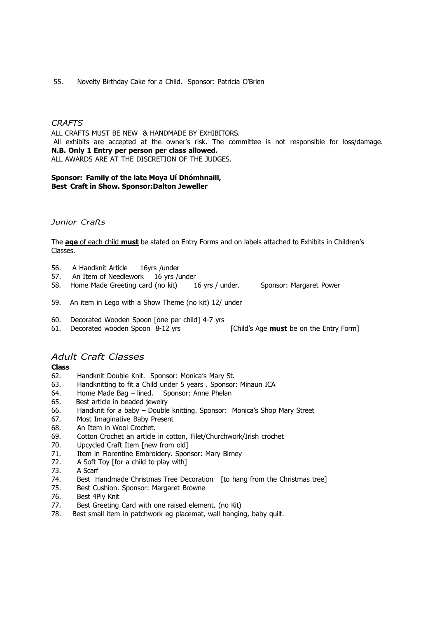#### 55. Novelty Birthday Cake for a Child. Sponsor: Patricia O'Brien

#### *CRAFTS*

ALL CRAFTS MUST BE NEW & HANDMADE BY EXHIBITORS. All exhibits are accepted at the owner's risk. The committee is not responsible for loss/damage. **N.B. Only 1 Entry per person per class allowed.** ALL AWARDS ARE AT THE DISCRETION OF THE JUDGES.

#### **Sponsor: Family of the late Moya Uí Dhómhnaill, Best Craft in Show. Sponsor:Dalton Jeweller**

#### *Junior Crafts*

The **age** of each child **must** be stated on Entry Forms and on labels attached to Exhibits in Children's Classes.

- 56. A Handknit Article 16yrs / under<br>57. An Item of Needlework 16 yrs / u
- An Item of Needlework 16 yrs /under
- 58. Home Made Greeting card (no kit) 16 yrs / under. Sponsor: Margaret Power

- 59. An item in Lego with a Show Theme (no kit) 12/ under
- 60. Decorated Wooden Spoon [one per child] 4-7 yrs
- 61. Decorated wooden Spoon 8-12 yrs [Child's Age **must** be on the Entry Form]

### *Adult Craft Classes*

#### **Class**

- 62. Handknit Double Knit. Sponsor: Monica's Mary St.
- 63. Handknitting to fit a Child under 5 years . Sponsor: Minaun ICA
- 64. Home Made Bag lined. Sponsor: Anne Phelan
- 65. Best article in beaded jewelry
- 66. Handknit for a baby Double knitting. Sponsor: Monica's Shop Mary Street
- 67. Most Imaginative Baby Present
- 68. An Item in Wool Crochet.
- 69. Cotton Crochet an article in cotton, Filet/Churchwork/Irish crochet
- 70. Upcycled Craft Item [new from old]
- 71. Item in Florentine Embroidery. Sponsor: Mary Birney
- 72. A Soft Toy [for a child to play with]
- 73. A Scarf
- 74. Best Handmade Christmas Tree Decoration [to hang from the Christmas tree]
- 75. Best Cushion. Sponsor: Margaret Browne
- 76. Best 4Ply Knit
- 77. Best Greeting Card with one raised element. (no Kit)
- 78. Best small item in patchwork eg placemat, wall hanging, baby quilt.